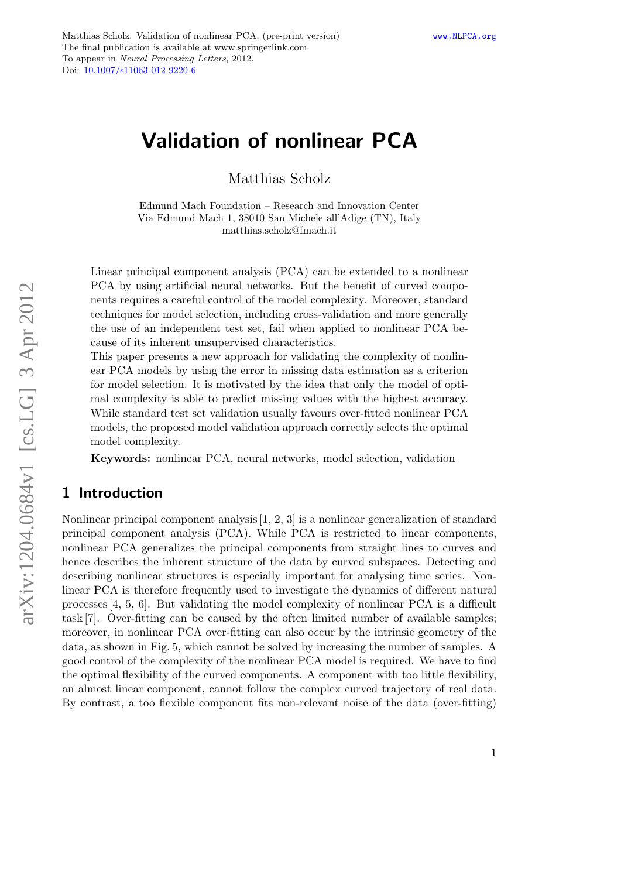# Validation of nonlinear PCA

Matthias Scholz

Edmund Mach Foundation – Research and Innovation Center Via Edmund Mach 1, 38010 San Michele all'Adige (TN), Italy matthias.scholz@fmach.it

Linear principal component analysis (PCA) can be extended to a nonlinear PCA by using artificial neural networks. But the benefit of curved components requires a careful control of the model complexity. Moreover, standard techniques for model selection, including cross-validation and more generally the use of an independent test set, fail when applied to nonlinear PCA because of its inherent unsupervised characteristics.

This paper presents a new approach for validating the complexity of nonlinear PCA models by using the error in missing data estimation as a criterion for model selection. It is motivated by the idea that only the model of optimal complexity is able to predict missing values with the highest accuracy. While standard test set validation usually favours over-fitted nonlinear PCA models, the proposed model validation approach correctly selects the optimal model complexity.

Keywords: nonlinear PCA, neural networks, model selection, validation

## 1 Introduction

Nonlinear principal component analysis [\[1,](#page-9-0) [2,](#page-9-1) [3\]](#page-9-2) is a nonlinear generalization of standard principal component analysis (PCA). While PCA is restricted to linear components, nonlinear PCA generalizes the principal components from straight lines to curves and hence describes the inherent structure of the data by curved subspaces. Detecting and describing nonlinear structures is especially important for analysing time series. Nonlinear PCA is therefore frequently used to investigate the dynamics of different natural processes [\[4,](#page-9-3) [5,](#page-9-4) [6\]](#page-9-5). But validating the model complexity of nonlinear PCA is a difficult task [\[7\]](#page-9-6). Over-fitting can be caused by the often limited number of available samples; moreover, in nonlinear PCA over-fitting can also occur by the intrinsic geometry of the data, as shown in Fig. [5,](#page-7-0) which cannot be solved by increasing the number of samples. A good control of the complexity of the nonlinear PCA model is required. We have to find the optimal flexibility of the curved components. A component with too little flexibility, an almost linear component, cannot follow the complex curved trajectory of real data. By contrast, a too flexible component fits non-relevant noise of the data (over-fitting)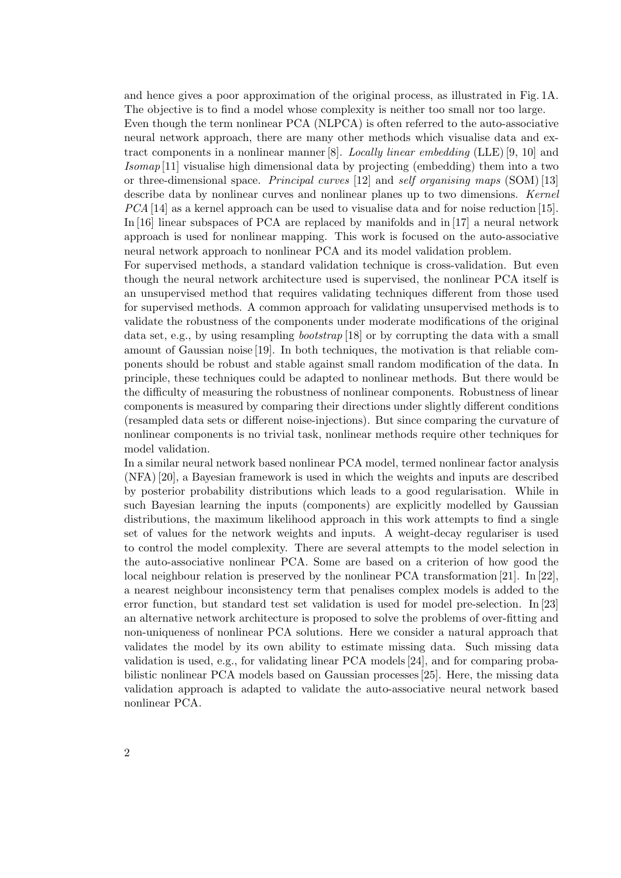and hence gives a poor approximation of the original process, as illustrated in Fig. [1A](#page-2-0). The objective is to find a model whose complexity is neither too small nor too large.

Even though the term nonlinear PCA (NLPCA) is often referred to the auto-associative neural network approach, there are many other methods which visualise data and extract components in a nonlinear manner  $[8]$ . Locally linear embedding (LLE) [\[9,](#page-9-8) [10\]](#page-9-9) and Isomap [\[11\]](#page-9-10) visualise high dimensional data by projecting (embedding) them into a two or three-dimensional space. Principal curves [\[12\]](#page-10-0) and self organising maps (SOM) [\[13\]](#page-10-1) describe data by nonlinear curves and nonlinear planes up to two dimensions. Kernel PCA [\[14\]](#page-10-2) as a kernel approach can be used to visualise data and for noise reduction [\[15\]](#page-10-3). In [\[16\]](#page-10-4) linear subspaces of PCA are replaced by manifolds and in [\[17\]](#page-10-5) a neural network approach is used for nonlinear mapping. This work is focused on the auto-associative neural network approach to nonlinear PCA and its model validation problem.

For supervised methods, a standard validation technique is cross-validation. But even though the neural network architecture used is supervised, the nonlinear PCA itself is an unsupervised method that requires validating techniques different from those used for supervised methods. A common approach for validating unsupervised methods is to validate the robustness of the components under moderate modifications of the original data set, e.g., by using resampling *bootstrap* [\[18\]](#page-10-6) or by corrupting the data with a small amount of Gaussian noise [\[19\]](#page-10-7). In both techniques, the motivation is that reliable components should be robust and stable against small random modification of the data. In principle, these techniques could be adapted to nonlinear methods. But there would be the difficulty of measuring the robustness of nonlinear components. Robustness of linear components is measured by comparing their directions under slightly different conditions (resampled data sets or different noise-injections). But since comparing the curvature of nonlinear components is no trivial task, nonlinear methods require other techniques for model validation.

In a similar neural network based nonlinear PCA model, termed nonlinear factor analysis (NFA) [\[20\]](#page-10-8), a Bayesian framework is used in which the weights and inputs are described by posterior probability distributions which leads to a good regularisation. While in such Bayesian learning the inputs (components) are explicitly modelled by Gaussian distributions, the maximum likelihood approach in this work attempts to find a single set of values for the network weights and inputs. A weight-decay regulariser is used to control the model complexity. There are several attempts to the model selection in the auto-associative nonlinear PCA. Some are based on a criterion of how good the local neighbour relation is preserved by the nonlinear PCA transformation [\[21\]](#page-10-9). In [\[22\]](#page-10-10), a nearest neighbour inconsistency term that penalises complex models is added to the error function, but standard test set validation is used for model pre-selection. In [\[23\]](#page-10-11) an alternative network architecture is proposed to solve the problems of over-fitting and non-uniqueness of nonlinear PCA solutions. Here we consider a natural approach that validates the model by its own ability to estimate missing data. Such missing data validation is used, e.g., for validating linear PCA models [\[24\]](#page-10-12), and for comparing probabilistic nonlinear PCA models based on Gaussian processes [\[25\]](#page-10-13). Here, the missing data validation approach is adapted to validate the auto-associative neural network based nonlinear PCA.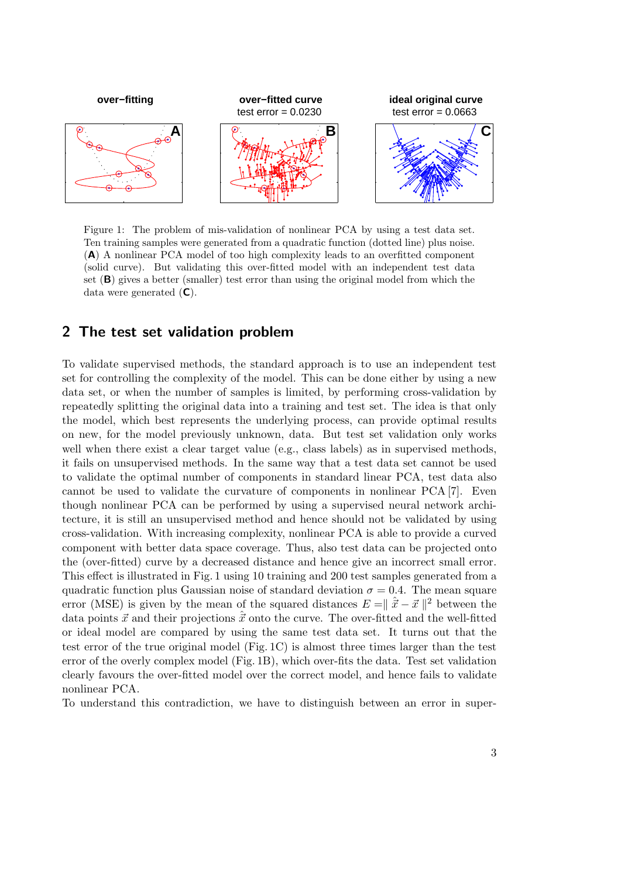

<span id="page-2-0"></span>Figure 1: The problem of mis-validation of nonlinear PCA by using a test data set. Ten training samples were generated from a quadratic function (dotted line) plus noise. (A) A nonlinear PCA model of too high complexity leads to an overfitted component (solid curve). But validating this over-fitted model with an independent test data set  $(\mathbf{B})$  gives a better (smaller) test error than using the original model from which the data were generated  $(C)$ .

### 2 The test set validation problem

To validate supervised methods, the standard approach is to use an independent test set for controlling the complexity of the model. This can be done either by using a new data set, or when the number of samples is limited, by performing cross-validation by repeatedly splitting the original data into a training and test set. The idea is that only the model, which best represents the underlying process, can provide optimal results on new, for the model previously unknown, data. But test set validation only works well when there exist a clear target value (e.g., class labels) as in supervised methods, it fails on unsupervised methods. In the same way that a test data set cannot be used to validate the optimal number of components in standard linear PCA, test data also cannot be used to validate the curvature of components in nonlinear PCA [\[7\]](#page-9-6). Even though nonlinear PCA can be performed by using a supervised neural network architecture, it is still an unsupervised method and hence should not be validated by using cross-validation. With increasing complexity, nonlinear PCA is able to provide a curved component with better data space coverage. Thus, also test data can be projected onto the (over-fitted) curve by a decreased distance and hence give an incorrect small error. This effect is illustrated in Fig. [1](#page-2-0) using 10 training and 200 test samples generated from a quadratic function plus Gaussian noise of standard deviation  $\sigma = 0.4$ . The mean square error (MSE) is given by the mean of the squared distances  $E = \|\hat{x} - \vec{x}\|^2$  between the data points  $\vec{x}$  and their projections  $\hat{\vec{x}}$  onto the curve. The over-fitted and the well-fitted or ideal model are compared by using the same test data set. It turns out that the test error of the true original model (Fig. [1C](#page-2-0)) is almost three times larger than the test error of the overly complex model (Fig. [1B](#page-2-0)), which over-fits the data. Test set validation clearly favours the over-fitted model over the correct model, and hence fails to validate nonlinear PCA.

To understand this contradiction, we have to distinguish between an error in super-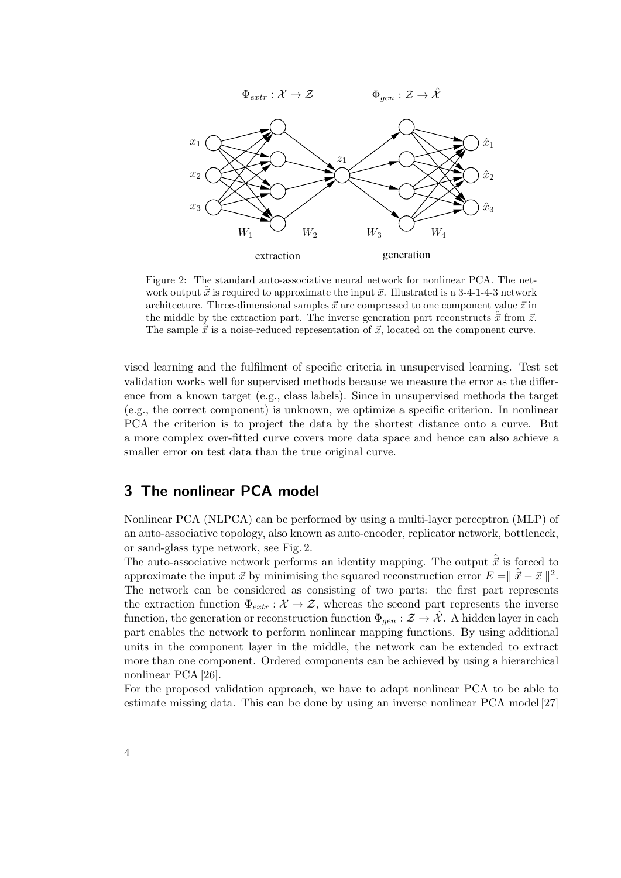

<span id="page-3-0"></span>Figure 2: The standard auto-associative neural network for nonlinear PCA. The network output  $\vec{x}$  is required to approximate the input  $\vec{x}$ . Illustrated is a 3-4-1-4-3 network architecture. Three-dimensional samples  $\vec{x}$  are compressed to one component value  $\vec{z}$  in the middle by the extraction part. The inverse generation part reconstructs  $\vec{x}$  from  $\vec{z}$ . The sample  $\vec{x}$  is a noise-reduced representation of  $\vec{x}$ , located on the component curve.

vised learning and the fulfilment of specific criteria in unsupervised learning. Test set validation works well for supervised methods because we measure the error as the difference from a known target (e.g., class labels). Since in unsupervised methods the target (e.g., the correct component) is unknown, we optimize a specific criterion. In nonlinear PCA the criterion is to project the data by the shortest distance onto a curve. But a more complex over-fitted curve covers more data space and hence can also achieve a smaller error on test data than the true original curve.

# 3 The nonlinear PCA model

Nonlinear PCA (NLPCA) can be performed by using a multi-layer perceptron (MLP) of an auto-associative topology, also known as auto-encoder, replicator network, bottleneck, or sand-glass type network, see Fig. [2.](#page-3-0)

The auto-associative network performs an identity mapping. The output  $\vec{x}$  is forced to approximate the input  $\vec{x}$  by minimising the squared reconstruction error  $E = \|\hat{\vec{x}} - \vec{x}\|^2$ . The network can be considered as consisting of two parts: the first part represents the extraction function  $\Phi_{\text{extr}} : \mathcal{X} \to \mathcal{Z}$ , whereas the second part represents the inverse function, the generation or reconstruction function  $\Phi_{gen} : \mathcal{Z} \to \mathcal{X}$ . A hidden layer in each part enables the network to perform nonlinear mapping functions. By using additional units in the component layer in the middle, the network can be extended to extract more than one component. Ordered components can be achieved by using a hierarchical nonlinear PCA [\[26\]](#page-11-0).

For the proposed validation approach, we have to adapt nonlinear PCA to be able to estimate missing data. This can be done by using an inverse nonlinear PCA model [\[27\]](#page-11-1)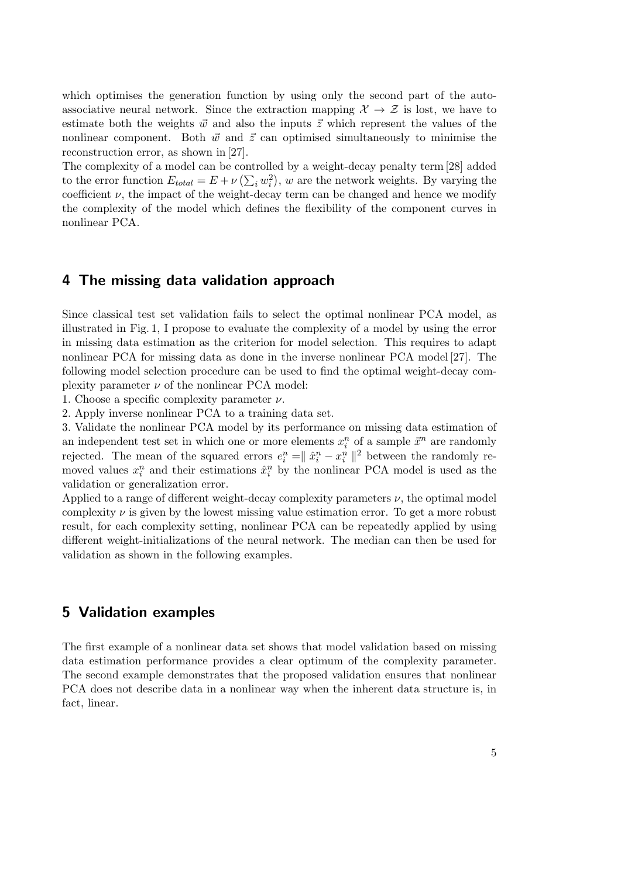which optimises the generation function by using only the second part of the autoassociative neural network. Since the extraction mapping  $\mathcal{X} \to \mathcal{Z}$  is lost, we have to estimate both the weights  $\vec{w}$  and also the inputs  $\vec{z}$  which represent the values of the nonlinear component. Both  $\vec{w}$  and  $\vec{z}$  can optimised simultaneously to minimise the reconstruction error, as shown in [\[27\]](#page-11-1).

The complexity of a model can be controlled by a weight-decay penalty term [\[28\]](#page-11-2) added to the error function  $E_{total} = E + \nu \left( \sum_i w_i^2 \right)$ , w are the network weights. By varying the coefficient  $\nu$ , the impact of the weight-decay term can be changed and hence we modify the complexity of the model which defines the flexibility of the component curves in nonlinear PCA.

### 4 The missing data validation approach

Since classical test set validation fails to select the optimal nonlinear PCA model, as illustrated in Fig. [1,](#page-2-0) I propose to evaluate the complexity of a model by using the error in missing data estimation as the criterion for model selection. This requires to adapt nonlinear PCA for missing data as done in the inverse nonlinear PCA model [\[27\]](#page-11-1). The following model selection procedure can be used to find the optimal weight-decay complexity parameter  $\nu$  of the nonlinear PCA model:

1. Choose a specific complexity parameter  $\nu$ .

2. Apply inverse nonlinear PCA to a training data set.

3. Validate the nonlinear PCA model by its performance on missing data estimation of an independent test set in which one or more elements  $x_i^n$  of a sample  $\vec{x}^n$  are randomly rejected. The mean of the squared errors  $e_i^n = || \hat{x}_i^n - x_i^n ||^2$  between the randomly removed values  $x_i^n$  and their estimations  $\hat{x}_i^n$  by the nonlinear PCA model is used as the validation or generalization error.

Applied to a range of different weight-decay complexity parameters  $\nu$ , the optimal model complexity  $\nu$  is given by the lowest missing value estimation error. To get a more robust result, for each complexity setting, nonlinear PCA can be repeatedly applied by using different weight-initializations of the neural network. The median can then be used for validation as shown in the following examples.

### 5 Validation examples

The first example of a nonlinear data set shows that model validation based on missing data estimation performance provides a clear optimum of the complexity parameter. The second example demonstrates that the proposed validation ensures that nonlinear PCA does not describe data in a nonlinear way when the inherent data structure is, in fact, linear.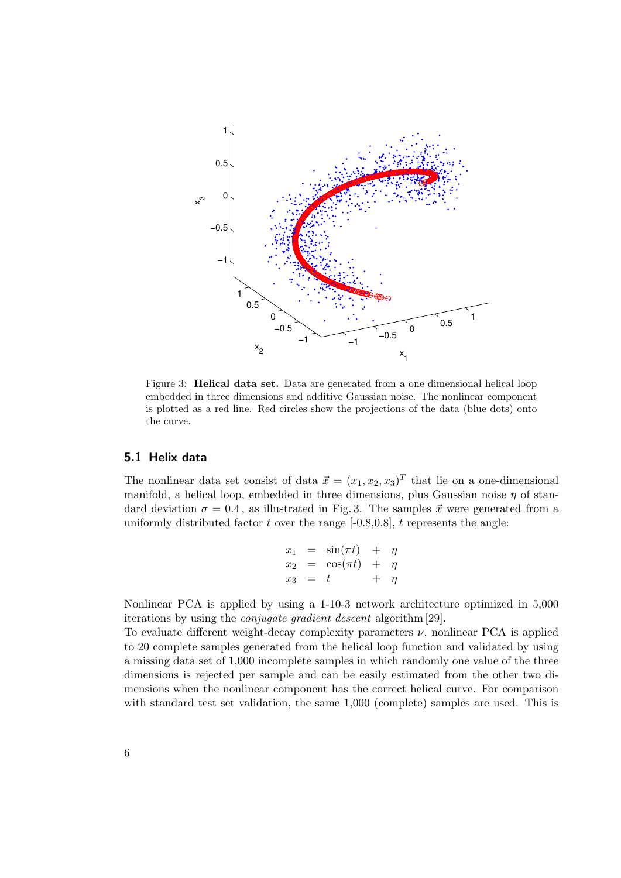

<span id="page-5-0"></span>Figure 3: Helical data set. Data are generated from a one dimensional helical loop embedded in three dimensions and additive Gaussian noise. The nonlinear component is plotted as a red line. Red circles show the projections of the data (blue dots) onto the curve.

#### 5.1 Helix data

The nonlinear data set consist of data  $\vec{x} = (x_1, x_2, x_3)^T$  that lie on a one-dimensional manifold, a helical loop, embedded in three dimensions, plus Gaussian noise  $\eta$  of standard deviation  $\sigma = 0.4$ , as illustrated in Fig. [3.](#page-5-0) The samples  $\vec{x}$  were generated from a uniformly distributed factor t over the range  $[-0.8, 0.8]$ , t represents the angle:

$$
\begin{array}{rcl}\nx_1 &=& \sin(\pi t) + \eta \\
x_2 &=& \cos(\pi t) + \eta \\
x_3 &=& t + \eta\n\end{array}
$$

Nonlinear PCA is applied by using a 1-10-3 network architecture optimized in 5,000 iterations by using the conjugate gradient descent algorithm [\[29\]](#page-11-3).

To evaluate different weight-decay complexity parameters  $\nu$ , nonlinear PCA is applied to 20 complete samples generated from the helical loop function and validated by using a missing data set of 1,000 incomplete samples in which randomly one value of the three dimensions is rejected per sample and can be easily estimated from the other two dimensions when the nonlinear component has the correct helical curve. For comparison with standard test set validation, the same 1,000 (complete) samples are used. This is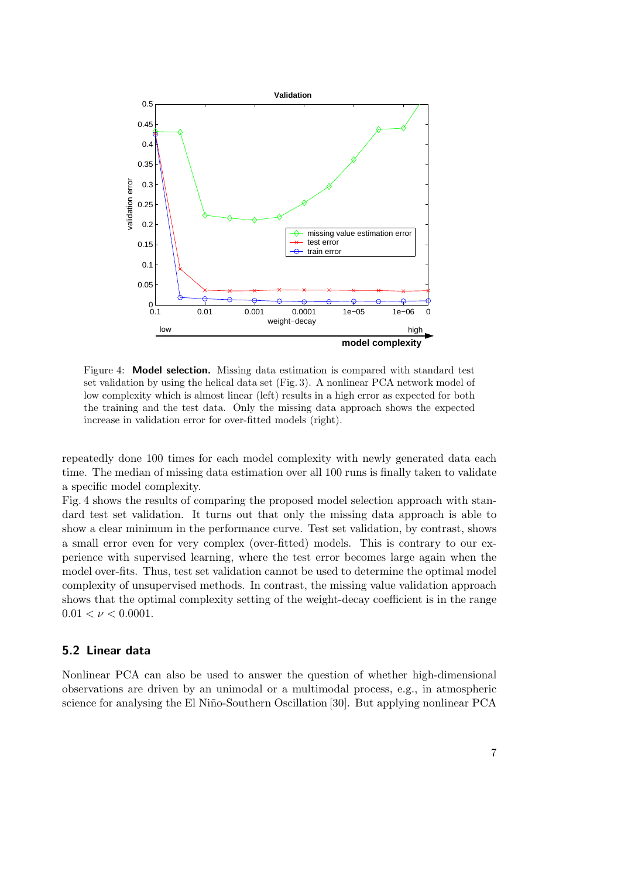

<span id="page-6-0"></span>Figure 4: **Model selection.** Missing data estimation is compared with standard test set validation by using the helical data set (Fig. [3\)](#page-5-0). A nonlinear PCA network model of low complexity which is almost linear (left) results in a high error as expected for both the training and the test data. Only the missing data approach shows the expected increase in validation error for over-fitted models (right).

repeatedly done 100 times for each model complexity with newly generated data each time. The median of missing data estimation over all 100 runs is finally taken to validate a specific model complexity.

Fig. [4](#page-6-0) shows the results of comparing the proposed model selection approach with standard test set validation. It turns out that only the missing data approach is able to show a clear minimum in the performance curve. Test set validation, by contrast, shows a small error even for very complex (over-fitted) models. This is contrary to our experience with supervised learning, where the test error becomes large again when the model over-fits. Thus, test set validation cannot be used to determine the optimal model complexity of unsupervised methods. In contrast, the missing value validation approach shows that the optimal complexity setting of the weight-decay coefficient is in the range  $0.01 < \nu < 0.0001$ .

### 5.2 Linear data

Nonlinear PCA can also be used to answer the question of whether high-dimensional observations are driven by an unimodal or a multimodal process, e.g., in atmospheric science for analysing the El Niño-Southern Oscillation [\[30\]](#page-11-4). But applying nonlinear PCA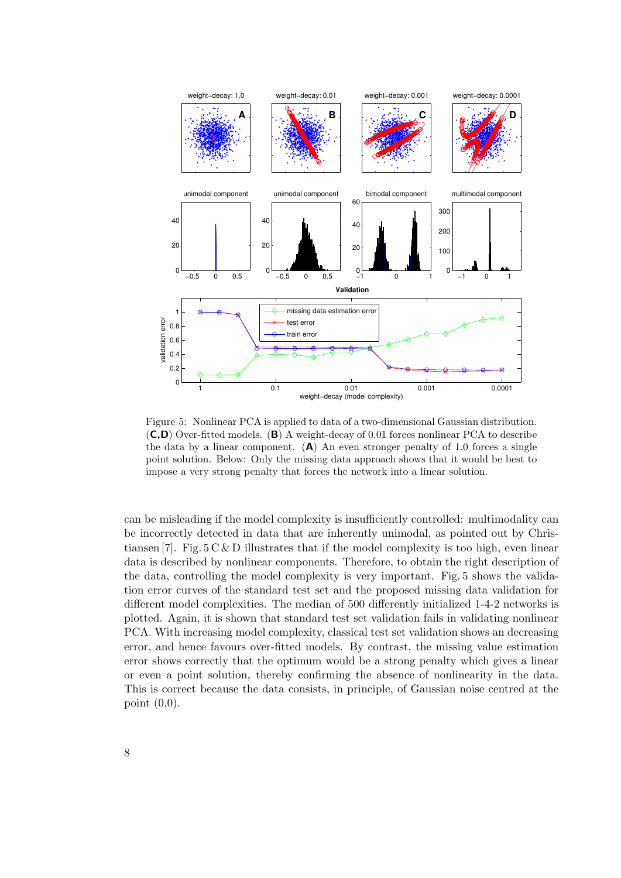

<span id="page-7-0"></span>Figure 5: Nonlinear PCA is applied to data of a two-dimensional Gaussian distribution. (C,D) Over-fitted models. (B) A weight-decay of 0.01 forces nonlinear PCA to describe the data by a linear component.  $(A)$  An even stronger penalty of 1.0 forces a single point solution. Below: Only the missing data approach shows that it would be best to impose a very strong penalty that forces the network into a linear solution.

can be misleading if the model complexity is insufficiently controlled: multimodality can be incorrectly detected in data that are inherently unimodal, as pointed out by Chris-tiansen [\[7\]](#page-9-6). Fig.  $5 \text{C} \& \text{D}$  $5 \text{C} \& \text{D}$  illustrates that if the model complexity is too high, even linear data is described by nonlinear components. Therefore, to obtain the right description of the data, controlling the model complexity is very important. Fig. [5](#page-7-0) shows the validation error curves of the standard test set and the proposed missing data validation for different model complexities. The median of 500 differently initialized 1-4-2 networks is plotted. Again, it is shown that standard test set validation fails in validating nonlinear PCA. With increasing model complexity, classical test set validation shows an decreasing error, and hence favours over-fitted models. By contrast, the missing value estimation error shows correctly that the optimum would be a strong penalty which gives a linear or even a point solution, thereby confirming the absence of nonlinearity in the data. This is correct because the data consists, in principle, of Gaussian noise centred at the point  $(0,0)$ .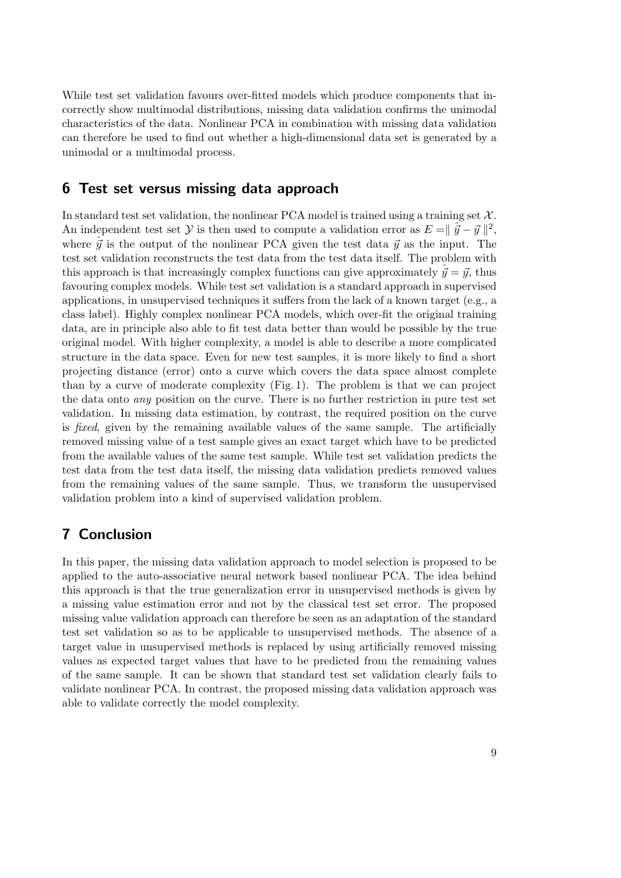While test set validation favours over-fitted models which produce components that incorrectly show multimodal distributions, missing data validation confirms the unimodal characteristics of the data. Nonlinear PCA in combination with missing data validation can therefore be used to find out whether a high-dimensional data set is generated by a unimodal or a multimodal process.

### 6 Test set versus missing data approach

In standard test set validation, the nonlinear PCA model is trained using a training set  $\mathcal{X}$ . An independent test set  $\mathcal Y$  is then used to compute a validation error as  $E = \|\hat y - \vec y\|^2$ , where  $\vec{y}$  is the output of the nonlinear PCA given the test data  $\vec{y}$  as the input. The test set validation reconstructs the test data from the test data itself. The problem with this approach is that increasingly complex functions can give approximately  $\vec{y} = \vec{y}$ , thus favouring complex models. While test set validation is a standard approach in supervised applications, in unsupervised techniques it suffers from the lack of a known target (e.g., a class label). Highly complex nonlinear PCA models, which over-fit the original training data, are in principle also able to fit test data better than would be possible by the true original model. With higher complexity, a model is able to describe a more complicated structure in the data space. Even for new test samples, it is more likely to find a short projecting distance (error) onto a curve which covers the data space almost complete than by a curve of moderate complexity (Fig. [1\)](#page-2-0). The problem is that we can project the data onto any position on the curve. There is no further restriction in pure test set validation. In missing data estimation, by contrast, the required position on the curve is fixed, given by the remaining available values of the same sample. The artificially removed missing value of a test sample gives an exact target which have to be predicted from the available values of the same test sample. While test set validation predicts the test data from the test data itself, the missing data validation predicts removed values from the remaining values of the same sample. Thus, we transform the unsupervised validation problem into a kind of supervised validation problem.

# 7 Conclusion

In this paper, the missing data validation approach to model selection is proposed to be applied to the auto-associative neural network based nonlinear PCA. The idea behind this approach is that the true generalization error in unsupervised methods is given by a missing value estimation error and not by the classical test set error. The proposed missing value validation approach can therefore be seen as an adaptation of the standard test set validation so as to be applicable to unsupervised methods. The absence of a target value in unsupervised methods is replaced by using artificially removed missing values as expected target values that have to be predicted from the remaining values of the same sample. It can be shown that standard test set validation clearly fails to validate nonlinear PCA. In contrast, the proposed missing data validation approach was able to validate correctly the model complexity.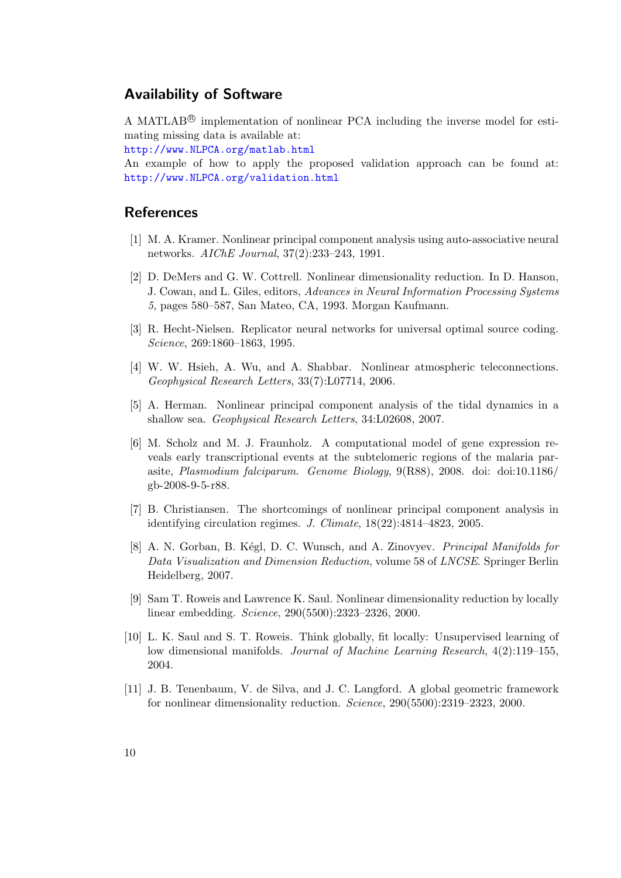# Availability of Software

A MATLAB<sup>®</sup> implementation of nonlinear PCA including the inverse model for estimating missing data is available at:

<http://www.NLPCA.org/matlab.html>

An example of how to apply the proposed validation approach can be found at: <http://www.NLPCA.org/validation.html>

# **References**

- <span id="page-9-0"></span>[1] M. A. Kramer. Nonlinear principal component analysis using auto-associative neural networks. AIChE Journal, 37(2):233–243, 1991.
- <span id="page-9-1"></span>[2] D. DeMers and G. W. Cottrell. Nonlinear dimensionality reduction. In D. Hanson, J. Cowan, and L. Giles, editors, Advances in Neural Information Processing Systems 5, pages 580–587, San Mateo, CA, 1993. Morgan Kaufmann.
- <span id="page-9-2"></span>[3] R. Hecht-Nielsen. Replicator neural networks for universal optimal source coding. Science, 269:1860–1863, 1995.
- <span id="page-9-3"></span>[4] W. W. Hsieh, A. Wu, and A. Shabbar. Nonlinear atmospheric teleconnections. Geophysical Research Letters, 33(7):L07714, 2006.
- <span id="page-9-4"></span>[5] A. Herman. Nonlinear principal component analysis of the tidal dynamics in a shallow sea. Geophysical Research Letters, 34:L02608, 2007.
- <span id="page-9-5"></span>[6] M. Scholz and M. J. Fraunholz. A computational model of gene expression reveals early transcriptional events at the subtelomeric regions of the malaria parasite, Plasmodium falciparum. Genome Biology, 9(R88), 2008. doi: doi:10.1186/ gb-2008-9-5-r88.
- <span id="page-9-6"></span>[7] B. Christiansen. The shortcomings of nonlinear principal component analysis in identifying circulation regimes. J. Climate, 18(22):4814–4823, 2005.
- <span id="page-9-7"></span>[8] A. N. Gorban, B. Kégl, D. C. Wunsch, and A. Zinovyev. Principal Manifolds for Data Visualization and Dimension Reduction, volume 58 of LNCSE. Springer Berlin Heidelberg, 2007.
- <span id="page-9-8"></span>[9] Sam T. Roweis and Lawrence K. Saul. Nonlinear dimensionality reduction by locally linear embedding. Science, 290(5500):2323–2326, 2000.
- <span id="page-9-9"></span>[10] L. K. Saul and S. T. Roweis. Think globally, fit locally: Unsupervised learning of low dimensional manifolds. Journal of Machine Learning Research, 4(2):119–155, 2004.
- <span id="page-9-10"></span>[11] J. B. Tenenbaum, V. de Silva, and J. C. Langford. A global geometric framework for nonlinear dimensionality reduction. Science, 290(5500):2319–2323, 2000.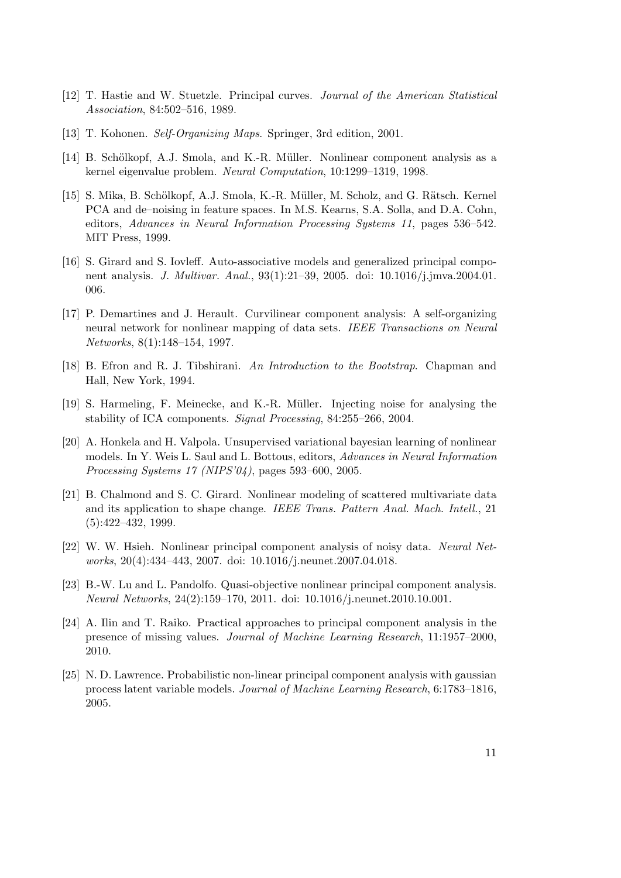- <span id="page-10-0"></span>[12] T. Hastie and W. Stuetzle. Principal curves. Journal of the American Statistical Association, 84:502–516, 1989.
- <span id="page-10-1"></span>[13] T. Kohonen. Self-Organizing Maps. Springer, 3rd edition, 2001.
- <span id="page-10-2"></span>[14] B. Schölkopf, A.J. Smola, and K.-R. Müller. Nonlinear component analysis as a kernel eigenvalue problem. Neural Computation, 10:1299–1319, 1998.
- <span id="page-10-3"></span>[15] S. Mika, B. Schölkopf, A.J. Smola, K.-R. Müller, M. Scholz, and G. Rätsch. Kernel PCA and de–noising in feature spaces. In M.S. Kearns, S.A. Solla, and D.A. Cohn, editors, Advances in Neural Information Processing Systems 11, pages 536–542. MIT Press, 1999.
- <span id="page-10-4"></span>[16] S. Girard and S. Iovleff. Auto-associative models and generalized principal component analysis. J. Multivar. Anal., 93(1):21–39, 2005. doi: 10.1016/j.jmva.2004.01. 006.
- <span id="page-10-5"></span>[17] P. Demartines and J. Herault. Curvilinear component analysis: A self-organizing neural network for nonlinear mapping of data sets. IEEE Transactions on Neural Networks, 8(1):148–154, 1997.
- <span id="page-10-6"></span>[18] B. Efron and R. J. Tibshirani. An Introduction to the Bootstrap. Chapman and Hall, New York, 1994.
- <span id="page-10-7"></span>[19] S. Harmeling, F. Meinecke, and K.-R. Müller. Injecting noise for analysing the stability of ICA components. Signal Processing, 84:255–266, 2004.
- <span id="page-10-8"></span>[20] A. Honkela and H. Valpola. Unsupervised variational bayesian learning of nonlinear models. In Y. Weis L. Saul and L. Bottous, editors, Advances in Neural Information Processing Systems 17 (NIPS'04), pages 593–600, 2005.
- <span id="page-10-9"></span>[21] B. Chalmond and S. C. Girard. Nonlinear modeling of scattered multivariate data and its application to shape change. IEEE Trans. Pattern Anal. Mach. Intell., 21 (5):422–432, 1999.
- <span id="page-10-10"></span>[22] W. W. Hsieh. Nonlinear principal component analysis of noisy data. Neural Networks, 20(4):434–443, 2007. doi: 10.1016/j.neunet.2007.04.018.
- <span id="page-10-11"></span>[23] B.-W. Lu and L. Pandolfo. Quasi-objective nonlinear principal component analysis. Neural Networks, 24(2):159–170, 2011. doi: 10.1016/j.neunet.2010.10.001.
- <span id="page-10-12"></span>[24] A. Ilin and T. Raiko. Practical approaches to principal component analysis in the presence of missing values. Journal of Machine Learning Research, 11:1957–2000, 2010.
- <span id="page-10-13"></span>[25] N. D. Lawrence. Probabilistic non-linear principal component analysis with gaussian process latent variable models. Journal of Machine Learning Research, 6:1783–1816, 2005.